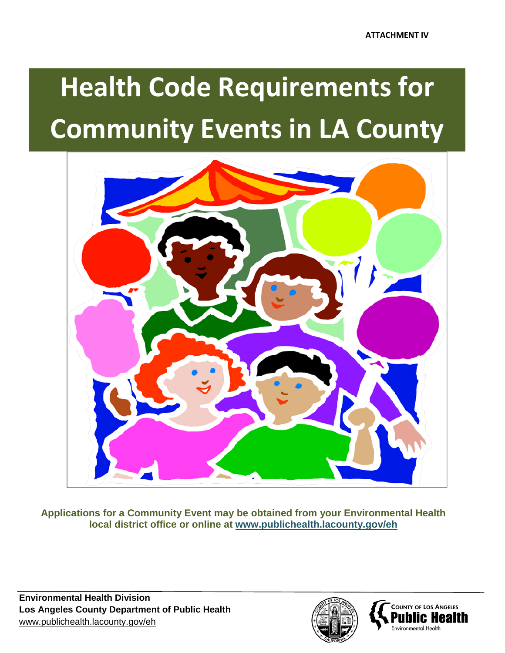# **Health Code Requirements Community Events in LA County Community Events in LA County Health Code Requirements for**



**Applications for a Community Event may be obtained from your Environmental Health local district office or online at www.publichealth.lacounty.gov/eh**



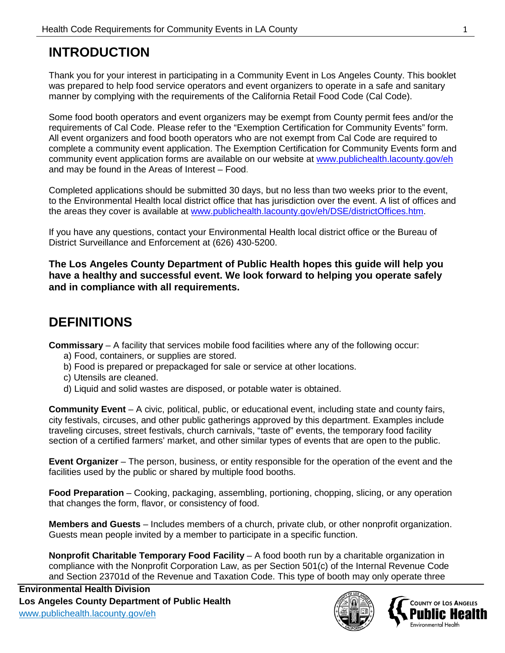# **INTRODUCTION**

Thank you for your interest in participating in a Community Event in Los Angeles County. This booklet was prepared to help food service operators and event organizers to operate in a safe and sanitary manner by complying with the requirements of the California Retail Food Code (Cal Code).

Some food booth operators and event organizers may be exempt from County permit fees and/or the requirements of Cal Code. Please refer to the "Exemption Certification for Community Events" form. All event organizers and food booth operators who are not exempt from Cal Code are required to complete a community event application. The Exemption Certification for Community Events form and community event application forms are available on our website at [www.publichealth.lacounty.gov/eh](http://www.publichealth.lacounty.gov/eh) and may be found in the Areas of Interest – Food.

Completed applications should be submitted 30 days, but no less than two weeks prior to the event, to the Environmental Health local district office that has jurisdiction over the event. A list of offices and the areas they cover is available at [www.publichealth.lacounty.gov/eh/DSE/districtOffices.htm.](http://www.publichealth.lacounty.gov/eh/DSE/districtOffices.htm)

If you have any questions, contact your Environmental Health local district office or the Bureau of District Surveillance and Enforcement at (626) 430-5200.

**The Los Angeles County Department of Public Health hopes this guide will help you have a healthy and successful event. We look forward to helping you operate safely and in compliance with all requirements.** 

# **DEFINITIONS**

**Commissary** – A facility that services mobile food facilities where any of the following occur:

- a) Food, containers, or supplies are stored.
- b) Food is prepared or prepackaged for sale or service at other locations.
- c) Utensils are cleaned.
- d) Liquid and solid wastes are disposed, or potable water is obtained.

**Community Event** – A civic, political, public, or educational event, including state and county fairs, city festivals, circuses, and other public gatherings approved by this department. Examples include traveling circuses, street festivals, church carnivals, "taste of" events, the temporary food facility section of a certified farmers' market, and other similar types of events that are open to the public.

**Event Organizer** – The person, business, or entity responsible for the operation of the event and the facilities used by the public or shared by multiple food booths.

**Food Preparation** – Cooking, packaging, assembling, portioning, chopping, slicing, or any operation that changes the form, flavor, or consistency of food.

**Members and Guests** – Includes members of a church, private club, or other nonprofit organization. Guests mean people invited by a member to participate in a specific function.

**Nonprofit Charitable Temporary Food Facility** – A food booth run by a charitable organization in compliance with the Nonprofit Corporation Law, as per Section 501(c) of the Internal Revenue Code and Section 23701d of the Revenue and Taxation Code. This type of booth may only operate three



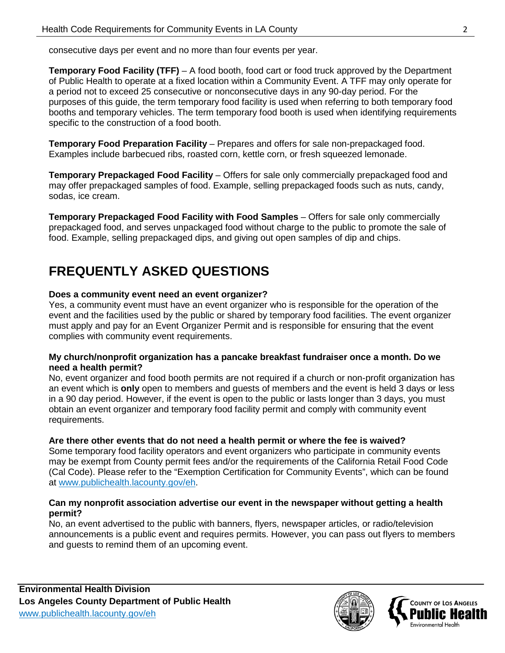consecutive days per event and no more than four events per year.

**Temporary Food Facility (TFF)** – A food booth, food cart or food truck approved by the Department of Public Health to operate at a fixed location within a Community Event. A TFF may only operate for a period not to exceed 25 consecutive or nonconsecutive days in any 90-day period. For the purposes of this guide, the term temporary food facility is used when referring to both temporary food booths and temporary vehicles. The term temporary food booth is used when identifying requirements specific to the construction of a food booth.

**Temporary Food Preparation Facility** – Prepares and offers for sale non-prepackaged food. Examples include barbecued ribs, roasted corn, kettle corn, or fresh squeezed lemonade.

**Temporary Prepackaged Food Facility** – Offers for sale only commercially prepackaged food and may offer prepackaged samples of food. Example, selling prepackaged foods such as nuts, candy, sodas, ice cream.

**Temporary Prepackaged Food Facility with Food Samples** – Offers for sale only commercially prepackaged food, and serves unpackaged food without charge to the public to promote the sale of food. Example, selling prepackaged dips, and giving out open samples of dip and chips.

# **FREQUENTLY ASKED QUESTIONS**

#### **Does a community event need an event organizer?**

Yes, a community event must have an event organizer who is responsible for the operation of the event and the facilities used by the public or shared by temporary food facilities. The event organizer must apply and pay for an Event Organizer Permit and is responsible for ensuring that the event complies with community event requirements.

#### **My church/nonprofit organization has a pancake breakfast fundraiser once a month. Do we need a health permit?**

No, event organizer and food booth permits are not required if a church or non-profit organization has an event which is **only** open to members and guests of members and the event is held 3 days or less in a 90 day period. However, if the event is open to the public or lasts longer than 3 days, you must obtain an event organizer and temporary food facility permit and comply with community event requirements.

# **Are there other events that do not need a health permit or where the fee is waived?**

Some temporary food facility operators and event organizers who participate in community events may be exempt from County permit fees and/or the requirements of the California Retail Food Code (Cal Code). Please refer to the "Exemption Certification for Community Events", which can be found at [www.publichealth.lacounty.gov/eh.](http://www.publichealth.lacounty.gov/eh)

#### **Can my nonprofit association advertise our event in the newspaper without getting a health permit?**

No, an event advertised to the public with banners, flyers, newspaper articles, or radio/television announcements is a public event and requires permits. However, you can pass out flyers to members and guests to remind them of an upcoming event.



**COUNTY OF LOS ANGELES** 

Environmental Health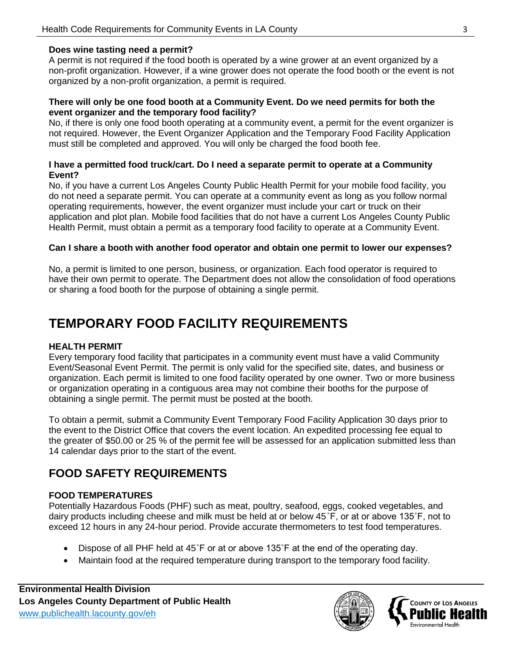#### **Does wine tasting need a permit?**

A permit is not required if the food booth is operated by a wine grower at an event organized by a non-profit organization. However, if a wine grower does not operate the food booth or the event is not organized by a non-profit organization, a permit is required.

#### **There will only be one food booth at a Community Event. Do we need permits for both the event organizer and the temporary food facility?**

No, if there is only one food booth operating at a community event, a permit for the event organizer is not required. However, the Event Organizer Application and the Temporary Food Facility Application must still be completed and approved. You will only be charged the food booth fee.

#### **I have a permitted food truck/cart. Do I need a separate permit to operate at a Community Event?**

No, if you have a current Los Angeles County Public Health Permit for your mobile food facility, you do not need a separate permit. You can operate at a community event as long as you follow normal operating requirements, however, the event organizer must include your cart or truck on their application and plot plan. Mobile food facilities that do not have a current Los Angeles County Public Health Permit, must obtain a permit as a temporary food facility to operate at a Community Event.

#### **Can I share a booth with another food operator and obtain one permit to lower our expenses?**

No, a permit is limited to one person, business, or organization. Each food operator is required to have their own permit to operate. The Department does not allow the consolidation of food operations or sharing a food booth for the purpose of obtaining a single permit.

# **TEMPORARY FOOD FACILITY REQUIREMENTS**

#### **HEALTH PERMIT**

Every temporary food facility that participates in a community event must have a valid Community Event/Seasonal Event Permit. The permit is only valid for the specified site, dates, and business or organization. Each permit is limited to one food facility operated by one owner. Two or more business or organization operating in a contiguous area may not combine their booths for the purpose of obtaining a single permit. The permit must be posted at the booth.

To obtain a permit, submit a Community Event Temporary Food Facility Application 30 days prior to the event to the District Office that covers the event location. An expedited processing fee equal to the greater of \$50.00 or 25 % of the permit fee will be assessed for an application submitted less than 14 calendar days prior to the start of the event.

# **FOOD SAFETY REQUIREMENTS**

# **FOOD TEMPERATURES**

Potentially Hazardous Foods (PHF) such as meat, poultry, seafood, eggs, cooked vegetables, and dairy products including cheese and milk must be held at or below 45˚F, or at or above 135˚F, not to exceed 12 hours in any 24-hour period. Provide accurate thermometers to test food temperatures.

- Dispose of all PHF held at 45°F or at or above 135°F at the end of the operating day.
- Maintain food at the required temperature during transport to the temporary food facility.



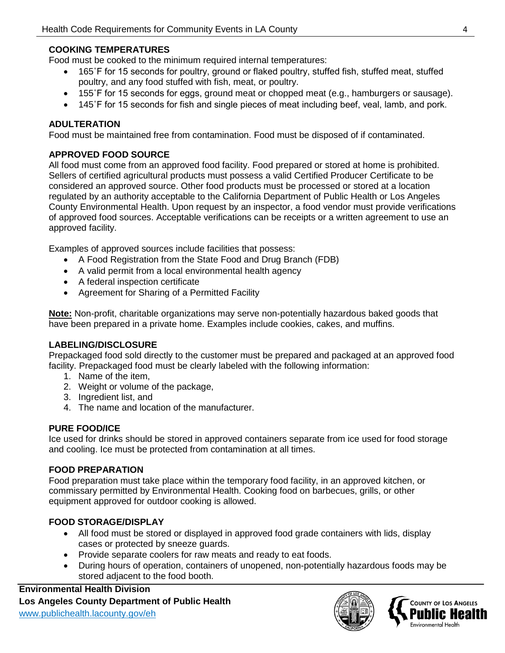# **COOKING TEMPERATURES**

Food must be cooked to the minimum required internal temperatures:

- 165°F for 15 seconds for poultry, ground or flaked poultry, stuffed fish, stuffed meat, stuffed poultry, and any food stuffed with fish, meat, or poultry.
- 155˚F for 15 seconds for eggs, ground meat or chopped meat (e.g., hamburgers or sausage).
- 145°F for 15 seconds for fish and single pieces of meat including beef, veal, lamb, and pork.

#### **ADULTERATION**

Food must be maintained free from contamination. Food must be disposed of if contaminated.

# **APPROVED FOOD SOURCE**

All food must come from an approved food facility. Food prepared or stored at home is prohibited. Sellers of certified agricultural products must possess a valid Certified Producer Certificate to be considered an approved source. Other food products must be processed or stored at a location regulated by an authority acceptable to the California Department of Public Health or Los Angeles County Environmental Health. Upon request by an inspector, a food vendor must provide verifications of approved food sources. Acceptable verifications can be receipts or a written agreement to use an approved facility.

Examples of approved sources include facilities that possess:

- A Food Registration from the State Food and Drug Branch (FDB)
- A valid permit from a local environmental health agency
- A federal inspection certificate
- Agreement for Sharing of a Permitted Facility

**Note:** Non-profit, charitable organizations may serve non-potentially hazardous baked goods that have been prepared in a private home. Examples include cookies, cakes, and muffins.

# **LABELING/DISCLOSURE**

Prepackaged food sold directly to the customer must be prepared and packaged at an approved food facility. Prepackaged food must be clearly labeled with the following information:

- 1. Name of the item,
- 2. Weight or volume of the package,
- 3. Ingredient list, and
- 4. The name and location of the manufacturer.

# **PURE FOOD/ICE**

Ice used for drinks should be stored in approved containers separate from ice used for food storage and cooling. Ice must be protected from contamination at all times.

# **FOOD PREPARATION**

Food preparation must take place within the temporary food facility, in an approved kitchen, or commissary permitted by Environmental Health. Cooking food on barbecues, grills, or other equipment approved for outdoor cooking is allowed.

# **FOOD STORAGE/DISPLAY**

- All food must be stored or displayed in approved food grade containers with lids, display cases or protected by sneeze guards.
- Provide separate coolers for raw meats and ready to eat foods.
- During hours of operation, containers of unopened, non-potentially hazardous foods may be stored adjacent to the food booth.

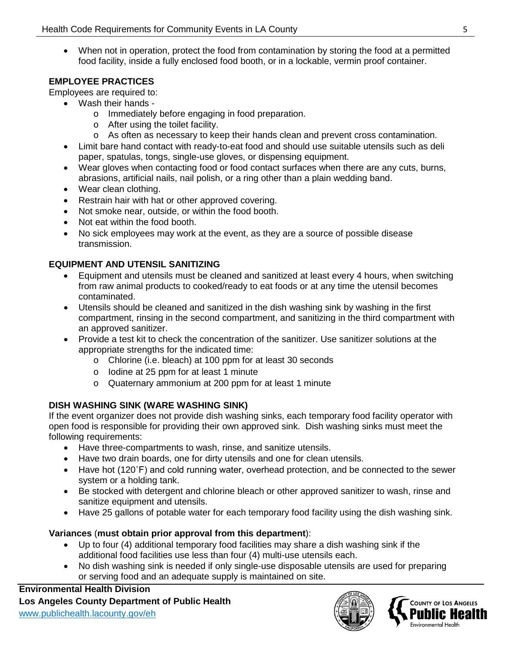• When not in operation, protect the food from contamination by storing the food at a permitted food facility, inside a fully enclosed food booth, or in a lockable, vermin proof container.

# **EMPLOYEE PRACTICES**

Employees are required to:

- Wash their hands
	- o Immediately before engaging in food preparation.
	- o After using the toilet facility.
	- o As often as necessary to keep their hands clean and prevent cross contamination.
- Limit bare hand contact with ready-to-eat food and should use suitable utensils such as deli paper, spatulas, tongs, single-use gloves, or dispensing equipment.
- Wear gloves when contacting food or food contact surfaces when there are any cuts, burns, abrasions, artificial nails, nail polish, or a ring other than a plain wedding band.
- Wear clean clothing.
- Restrain hair with hat or other approved covering.
- Not smoke near, outside, or within the food booth.
- Not eat within the food booth.
- No sick employees may work at the event, as they are a source of possible disease transmission.

#### **EQUIPMENT AND UTENSIL SANITIZING**

- Equipment and utensils must be cleaned and sanitized at least every 4 hours, when switching from raw animal products to cooked/ready to eat foods or at any time the utensil becomes contaminated.
- Utensils should be cleaned and sanitized in the dish washing sink by washing in the first compartment, rinsing in the second compartment, and sanitizing in the third compartment with an approved sanitizer.
- Provide a test kit to check the concentration of the sanitizer. Use sanitizer solutions at the appropriate strengths for the indicated time:
	- o Chlorine (i.e. bleach) at 100 ppm for at least 30 seconds
	- o Iodine at 25 ppm for at least 1 minute
	- o Quaternary ammonium at 200 ppm for at least 1 minute

# **DISH WASHING SINK (WARE WASHING SINK)**

If the event organizer does not provide dish washing sinks, each temporary food facility operator with open food is responsible for providing their own approved sink. Dish washing sinks must meet the following requirements:

- Have three-compartments to wash, rinse, and sanitize utensils.
- Have two drain boards, one for dirty utensils and one for clean utensils.
- Have hot (120˚F) and cold running water, overhead protection, and be connected to the sewer system or a holding tank.
- Be stocked with detergent and chlorine bleach or other approved sanitizer to wash, rinse and sanitize equipment and utensils.
- Have 25 gallons of potable water for each temporary food facility using the dish washing sink.

#### **Variances** (**must obtain prior approval from this department**):

- Up to four (4) additional temporary food facilities may share a dish washing sink if the additional food facilities use less than four (4) multi-use utensils each.
- No dish washing sink is needed if only single-use disposable utensils are used for preparing or serving food and an adequate supply is maintained on site.



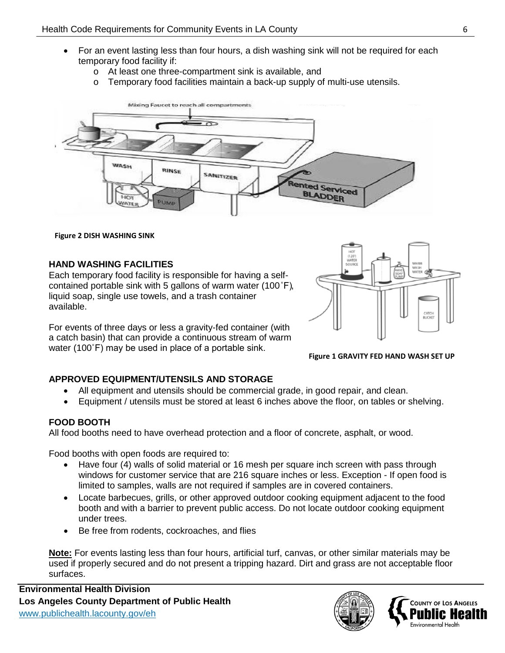- For an event lasting less than four hours, a dish washing sink will not be required for each temporary food facility if:
	- o At least one three-compartment sink is available, and
	- o Temporary food facilities maintain a back-up supply of multi-use utensils.



**Figure 2 DISH WASHING SINK**

#### **HAND WASHING FACILITIES**

Each temporary food facility is responsible for having a selfcontained portable sink with 5 gallons of warm water (100˚F), liquid soap, single use towels, and a trash container available.

For events of three days or less a gravity-fed container (with a catch basin) that can provide a continuous stream of warm water (100˚F) may be used in place of a portable sink.



#### **Figure 1 GRAVITY FED HAND WASH SET UP**

# **APPROVED EQUIPMENT/UTENSILS AND STORAGE**

- All equipment and utensils should be commercial grade, in good repair, and clean.
- Equipment / utensils must be stored at least 6 inches above the floor, on tables or shelving.

# **FOOD BOOTH**

All food booths need to have overhead protection and a floor of concrete, asphalt, or wood.

Food booths with open foods are required to:

- Have four (4) walls of solid material or 16 mesh per square inch screen with pass through windows for customer service that are 216 square inches or less. Exception - If open food is limited to samples, walls are not required if samples are in covered containers.
- Locate barbecues, grills, or other approved outdoor cooking equipment adjacent to the food booth and with a barrier to prevent public access. Do not locate outdoor cooking equipment under trees.
- Be free from rodents, cockroaches, and flies

**Note:** For events lasting less than four hours, artificial turf, canvas, or other similar materials may be used if properly secured and do not present a tripping hazard. Dirt and grass are not acceptable floor surfaces.



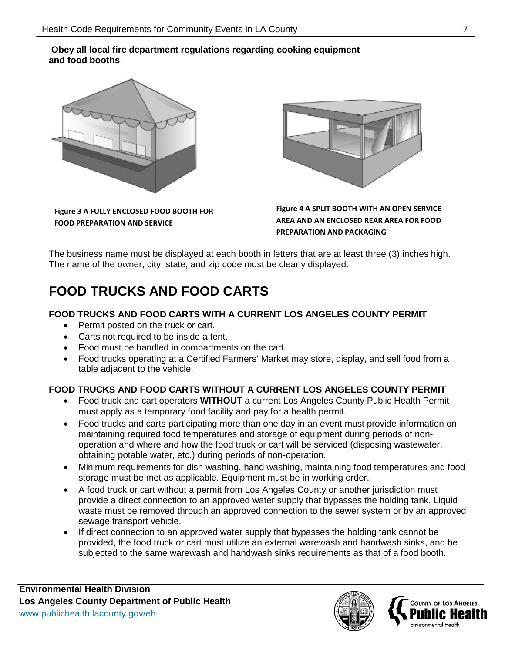#### **Obey all local fire department regulations regarding cooking equipment and food booths**.



**Figure 3 A FULLY ENCLOSED FOOD BOOTH FOR FOOD PREPARATION AND SERVICE**



**Figure 4 A SPLIT BOOTH WITH AN OPEN SERVICE AREA AND AN ENCLOSED REAR AREA FOR FOOD PREPARATION AND PACKAGING**

The business name must be displayed at each booth in letters that are at least three (3) inches high. The name of the owner, city, state, and zip code must be clearly displayed.

# **FOOD TRUCKS AND FOOD CARTS**

# **FOOD TRUCKS AND FOOD CARTS WITH A CURRENT LOS ANGELES COUNTY PERMIT**

- Permit posted on the truck or cart.
- Carts not required to be inside a tent.
- Food must be handled in compartments on the cart.
- Food trucks operating at a Certified Farmers' Market may store, display, and sell food from a table adjacent to the vehicle.

# **FOOD TRUCKS AND FOOD CARTS WITHOUT A CURRENT LOS ANGELES COUNTY PERMIT**

- Food truck and cart operators **WITHOUT** a current Los Angeles County Public Health Permit must apply as a temporary food facility and pay for a health permit.
- Food trucks and carts participating more than one day in an event must provide information on maintaining required food temperatures and storage of equipment during periods of nonoperation and where and how the food truck or cart will be serviced (disposing wastewater, obtaining potable water, etc.) during periods of non-operation.
- Minimum requirements for dish washing, hand washing, maintaining food temperatures and food storage must be met as applicable. Equipment must be in working order.
- A food truck or cart without a permit from Los Angeles County or another jurisdiction must provide a direct connection to an approved water supply that bypasses the holding tank. Liquid waste must be removed through an approved connection to the sewer system or by an approved sewage transport vehicle.
- If direct connection to an approved water supply that bypasses the holding tank cannot be provided, the food truck or cart must utilize an external warewash and handwash sinks, and be subjected to the same warewash and handwash sinks requirements as that of a food booth.



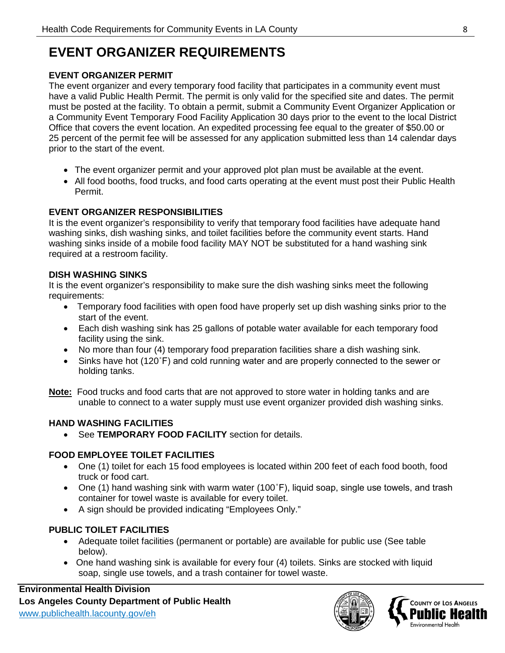# **EVENT ORGANIZER REQUIREMENTS**

# **EVENT ORGANIZER PERMIT**

The event organizer and every temporary food facility that participates in a community event must have a valid Public Health Permit. The permit is only valid for the specified site and dates. The permit must be posted at the facility. To obtain a permit, submit a Community Event Organizer Application or a Community Event Temporary Food Facility Application 30 days prior to the event to the local District Office that covers the event location. An expedited processing fee equal to the greater of \$50.00 or 25 percent of the permit fee will be assessed for any application submitted less than 14 calendar days prior to the start of the event.

- The event organizer permit and your approved plot plan must be available at the event.
- All food booths, food trucks, and food carts operating at the event must post their Public Health Permit.

# **EVENT ORGANIZER RESPONSIBILITIES**

It is the event organizer's responsibility to verify that temporary food facilities have adequate hand washing sinks, dish washing sinks, and toilet facilities before the community event starts. Hand washing sinks inside of a mobile food facility MAY NOT be substituted for a hand washing sink required at a restroom facility.

# **DISH WASHING SINKS**

It is the event organizer's responsibility to make sure the dish washing sinks meet the following requirements:

- Temporary food facilities with open food have properly set up dish washing sinks prior to the start of the event.
- Each dish washing sink has 25 gallons of potable water available for each temporary food facility using the sink.
- No more than four (4) temporary food preparation facilities share a dish washing sink.
- Sinks have hot (120˚F) and cold running water and are properly connected to the sewer or holding tanks.
- **Note:** Food trucks and food carts that are not approved to store water in holding tanks and are unable to connect to a water supply must use event organizer provided dish washing sinks.

# **HAND WASHING FACILITIES**

• See **TEMPORARY FOOD FACILITY** section for details.

# **FOOD EMPLOYEE TOILET FACILITIES**

- One (1) toilet for each 15 food employees is located within 200 feet of each food booth, food truck or food cart.
- One (1) hand washing sink with warm water (100°F), liquid soap, single use towels, and trash container for towel waste is available for every toilet.
- A sign should be provided indicating "Employees Only."

# **PUBLIC TOILET FACILITIES**

- Adequate toilet facilities (permanent or portable) are available for public use (See table below).
- One hand washing sink is available for every four (4) toilets. Sinks are stocked with liquid soap, single use towels, and a trash container for towel waste.